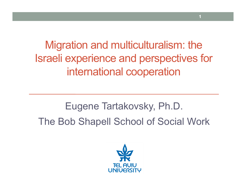Migration and multiculturalism: the Israeli experience and perspectives for international cooperation

**1**

Eugene Tartakovsky, Ph.D. The Bob Shapell School of Social Work

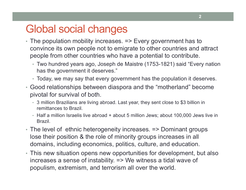#### Global social changes

- The population mobility increases. => Every government has to convince its own people not to emigrate to other countries and attract people from other countries who have a potential to contribute.
	- Two hundred years ago, Joseph de Maistre (1753-1821) said "Every nation has the government it deserves."
	- Today, we may say that every government has the population it deserves.
- Good relationships between diaspora and the "motherland" become pivotal for survival of both.
	- 3 million Brazilians are living abroad. Last year, they sent close to \$3 billion in remittances to Brazil.
	- Half a million Israelis live abroad + about 5 million Jews; about 100,000 Jews live in Brazil.
- The level of ethnic heterogeneity increases. => Dominant groups lose their position & the role of minority groups increases in all domains, including economics, politics, culture, and education.
- This new situation opens new opportunities for development, but also increases a sense of instability. => We witness a tidal wave of populism, extremism, and terrorism all over the world.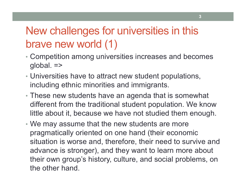### New challenges for universities in this brave new world (1)

- Competition among universities increases and becomes global. =>
- Universities have to attract new student populations, including ethnic minorities and immigrants.
- These new students have an agenda that is somewhat different from the traditional student population. We know little about it, because we have not studied them enough.
- We may assume that the new students are more pragmatically oriented on one hand (their economic situation is worse and, therefore, their need to survive and advance is stronger), and they want to learn more about their own group's history, culture, and social problems, on the other hand.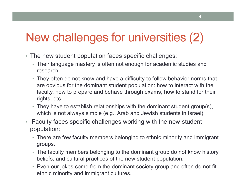## New challenges for universities (2)

- The new student population faces specific challenges:
	- Their language mastery is often not enough for academic studies and research.
	- They often do not know and have a difficulty to follow behavior norms that are obvious for the dominant student population: how to interact with the faculty, how to prepare and behave through exams, how to stand for their rights, etc.
	- They have to establish relationships with the dominant student group(s), which is not always simple (e.g., Arab and Jewish students in Israel).
- Faculty faces specific challenges working with the new student population:
	- There are few faculty members belonging to ethnic minority and immigrant groups.
	- The faculty members belonging to the dominant group do not know history, beliefs, and cultural practices of the new student population.
	- Even our jokes come from the dominant society group and often do not fit ethnic minority and immigrant cultures.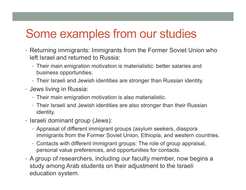## Some examples from our studies

- Returning immigrants: Immigrants from the Former Soviet Union who left Israel and returned to Russia:
	- Their main emigration motivation is materialistic: better salaries and business opportunities.
	- Their Israeli and Jewish identities are stronger than Russian identity.
- Jews living in Russia:
	- Their main emigration motivation is also materialistic.
	- Their Israeli and Jewish identities are also stronger than their Russian identity.
- Israeli dominant group (Jews):
	- Appraisal of different immigrant groups (asylum seekers, diaspora immigrants from the Former Soviet Union, Ethiopia, and western countries.
	- Contacts with different immigrant groups: The role of group appraisal, personal value preferences, and opportunities for contacts.
- A group of researchers, including our faculty member, now begins a study among Arab students on their adjustment to the Israeli education system.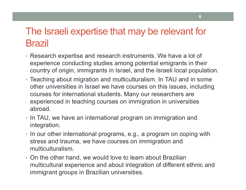#### The Israeli expertise that may be relevant for Brazil

- Research expertise and research instruments. We have a lot of experience conducting studies among potential emigrants in their country of origin, immigrants in Israel, and the Israeli local population.
- Teaching about migration and multiculturalism. In TAU and in some other universities in Israel we have courses on this issues, including courses for international students. Many our researchers are experienced in teaching courses on immigration in universities abroad.
- In TAU, we have an international program on immigration and integration.
- In our other international programs, e.g., a program on coping with stress and trauma, we have courses on immigration and multiculturalism.
- On the other hand, we would love to learn about Brazilian multicultural experience and about integration of different ethnic and immigrant groups in Brazilian universities.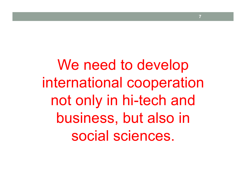We need to develop international cooperation not only in hi-tech and business, but also in social sciences.

**7**